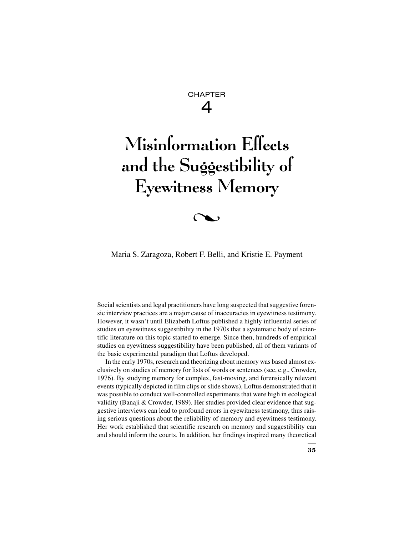# CHAPTER 4

# Misinformation Effects and the Suggestibility of Eyewitness Memory

N

Maria S. Zaragoza, Robert F. Belli, and Kristie E. Payment

Social scientists and legal practitioners have long suspected that suggestive forensic interview practices are a major cause of inaccuracies in eyewitness testimony. However, it wasn't until Elizabeth Loftus published a highly influential series of studies on eyewitness suggestibility in the 1970s that a systematic body of scientific literature on this topic started to emerge. Since then, hundreds of empirical studies on eyewitness suggestibility have been published, all of them variants of the basic experimental paradigm that Loftus developed.

In the early 1970s, research and theorizing about memory was based almost exclusively on studies of memory for lists of words or sentences (see, e.g., Crowder, 1976). By studying memory for complex, fast-moving, and forensically relevant events (typically depicted in film clips or slide shows), Loftus demonstrated that it was possible to conduct well-controlled experiments that were high in ecological validity (Banaji & Crowder, 1989). Her studies provided clear evidence that suggestive interviews can lead to profound errors in eyewitness testimony, thus raising serious questions about the reliability of memory and eyewitness testimony. Her work established that scientific research on memory and suggestibility can and should inform the courts. In addition, her findings inspired many theoretical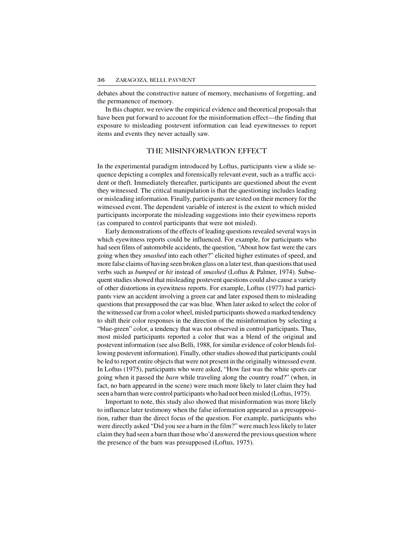debates about the constructive nature of memory, mechanisms of forgetting, and the permanence of memory.

In this chapter, we review the empirical evidence and theoretical proposals that have been put forward to account for the misinformation effect—the finding that exposure to misleading postevent information can lead eyewitnesses to report items and events they never actually saw.

## THE MISINFORMATION EFFECT

In the experimental paradigm introduced by Loftus, participants view a slide sequence depicting a complex and forensically relevant event, such as a traffic accident or theft. Immediately thereafter, participants are questioned about the event they witnessed. The critical manipulation is that the questioning includes leading or misleading information. Finally, participants are tested on their memory for the witnessed event. The dependent variable of interest is the extent to which misled participants incorporate the misleading suggestions into their eyewitness reports (as compared to control participants that were not misled).

Early demonstrations of the effects of leading questions revealed several ways in which eyewitness reports could be influenced. For example, for participants who had seen films of automobile accidents, the question, "About how fast were the cars going when they *smashed* into each other?" elicited higher estimates of speed, and more false claims of having seen broken glass on a later test, than questions that used verbs such as *bumped* or *hit* instead of *smashed* (Loftus & Palmer, 1974). Subsequent studies showed that misleading postevent questions could also cause a variety of other distortions in eyewitness reports. For example, Loftus (1977) had participants view an accident involving a green car and later exposed them to misleading questions that presupposed the car was blue. When later asked to select the color of the witnessed car from a color wheel, misled participants showed a marked tendency to shift their color responses in the direction of the misinformation by selecting a "blue-green" color, a tendency that was not observed in control participants. Thus, most misled participants reported a color that was a blend of the original and postevent information (see also Belli, 1988, for similar evidence of color blends following postevent information). Finally, other studies showed that participants could be led to report entire objects that were not present in the originally witnessed event. In Loftus (1975), participants who were asked, "How fast was the white sports car going when it passed the *barn* while traveling along the country road?" (when, in fact, no barn appeared in the scene) were much more likely to later claim they had seen a barn than were control participants who had not been misled (Loftus, 1975).

Important to note, this study also showed that misinformation was more likely to influence later testimony when the false information appeared as a presupposition, rather than the direct focus of the question. For example, participants who were directly asked "Did you see a barn in the film?" were much less likely to later claim they had seen a barn than those who'd answered the previous question where the presence of the barn was presupposed (Loftus, 1975).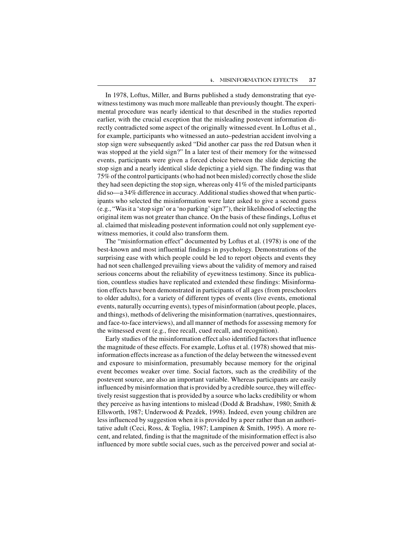In 1978, Loftus, Miller, and Burns published a study demonstrating that eyewitness testimony was much more malleable than previously thought. The experimental procedure was nearly identical to that described in the studies reported earlier, with the crucial exception that the misleading postevent information directly contradicted some aspect of the originally witnessed event. In Loftus et al., for example, participants who witnessed an auto–pedestrian accident involving a stop sign were subsequently asked "Did another car pass the red Datsun when it was stopped at the yield sign?" In a later test of their memory for the witnessed events, participants were given a forced choice between the slide depicting the stop sign and a nearly identical slide depicting a yield sign. The finding was that 75% of the control participants (who had not been misled) correctly chose the slide they had seen depicting the stop sign, whereas only 41% of the misled participants did so—a 34% difference in accuracy. Additional studies showed that when participants who selected the misinformation were later asked to give a second guess (e.g., "Was it a 'stop sign'or a 'no parking'sign?"), their likelihood of selecting the original item was not greater than chance. On the basis of these findings, Loftus et al. claimed that misleading postevent information could not only supplement eyewitness memories, it could also transform them.

The "misinformation effect" documented by Loftus et al. (1978) is one of the best-known and most influential findings in psychology. Demonstrations of the surprising ease with which people could be led to report objects and events they had not seen challenged prevailing views about the validity of memory and raised serious concerns about the reliability of eyewitness testimony. Since its publication, countless studies have replicated and extended these findings: Misinformation effects have been demonstrated in participants of all ages (from preschoolers to older adults), for a variety of different types of events (live events, emotional events, naturally occurring events), types of misinformation (about people, places, and things), methods of delivering the misinformation (narratives, questionnaires, and face-to-face interviews), and all manner of methods for assessing memory for the witnessed event (e.g., free recall, cued recall, and recognition).

Early studies of the misinformation effect also identified factors that influence the magnitude of these effects. For example, Loftus et al. (1978) showed that misinformation effects increase as a function of the delay between the witnessed event and exposure to misinformation, presumably because memory for the original event becomes weaker over time. Social factors, such as the credibility of the postevent source, are also an important variable. Whereas participants are easily influenced by misinformation that is provided by a credible source, they will effectively resist suggestion that is provided by a source who lacks credibility or whom they perceive as having intentions to mislead (Dodd & Bradshaw, 1980; Smith & Ellsworth, 1987; Underwood & Pezdek, 1998). Indeed, even young children are less influenced by suggestion when it is provided by a peer rather than an authoritative adult (Ceci, Ross, & Toglia, 1987; Lampinen & Smith, 1995). A more recent, and related, finding is that the magnitude of the misinformation effect is also influenced by more subtle social cues, such as the perceived power and social at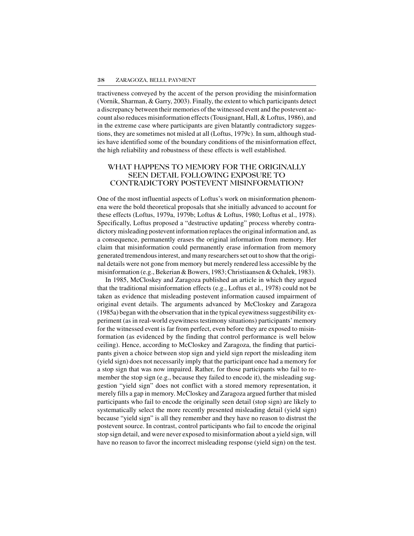tractiveness conveyed by the accent of the person providing the misinformation (Vornik, Sharman, & Garry, 2003). Finally, the extent to which participants detect a discrepancy between their memories of the witnessed event and the postevent account also reduces misinformation effects (Tousignant, Hall, & Loftus, 1986), and in the extreme case where participants are given blatantly contradictory suggestions, they are sometimes not misled at all (Loftus, 1979c). In sum, although studies have identified some of the boundary conditions of the misinformation effect, the high reliability and robustness of these effects is well established.

# WHAT HAPPENS TO MEMORY FOR THE ORIGINALLY SEEN DETAIL FOLLOWING EXPOSURE TO CONTRADICTORY POSTEVENT MISINFORMATION?

One of the most influential aspects of Loftus's work on misinformation phenomena were the bold theoretical proposals that she initially advanced to account for these effects (Loftus, 1979a, 1979b; Loftus & Loftus, 1980; Loftus et al., 1978). Specifically, Loftus proposed a "destructive updating" process whereby contradictory misleading postevent information replaces the original information and, as a consequence, permanently erases the original information from memory. Her claim that misinformation could permanently erase information from memory generated tremendous interest, and many researchers set out to show that the original details were not gone from memory but merely rendered less accessible by the misinformation (e.g., Bekerian & Bowers, 1983; Christiaansen & Ochalek, 1983).

In 1985, McCloskey and Zaragoza published an article in which they argued that the traditional misinformation effects (e.g., Loftus et al., 1978) could not be taken as evidence that misleading postevent information caused impairment of original event details. The arguments advanced by McCloskey and Zaragoza (1985a) began with the observation that in the typical eyewitness suggestibility experiment (as in real-world eyewitness testimony situations) participants' memory for the witnessed event is far from perfect, even before they are exposed to misinformation (as evidenced by the finding that control performance is well below ceiling). Hence, according to McCloskey and Zaragoza, the finding that participants given a choice between stop sign and yield sign report the misleading item (yield sign) does not necessarily imply that the participant once had a memory for a stop sign that was now impaired. Rather, for those participants who fail to remember the stop sign (e.g., because they failed to encode it), the misleading suggestion "yield sign" does not conflict with a stored memory representation, it merely fills a gap in memory. McCloskey and Zaragoza argued further that misled participants who fail to encode the originally seen detail (stop sign) are likely to systematically select the more recently presented misleading detail (yield sign) because "yield sign" is all they remember and they have no reason to distrust the postevent source. In contrast, control participants who fail to encode the original stop sign detail, and were never exposed to misinformation about a yield sign, will have no reason to favor the incorrect misleading response (yield sign) on the test.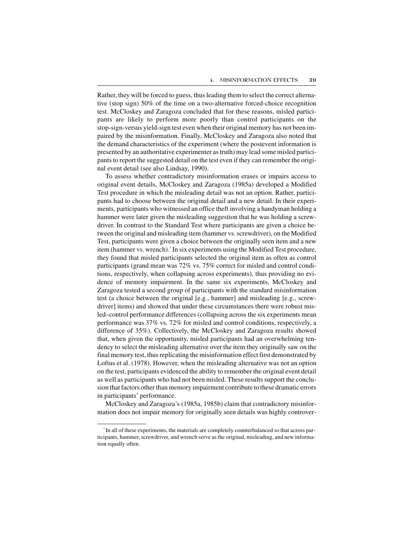Rather, they will be forced to guess, thus leading them to select the correct alternative (stop sign) 50% of the time on a two-alternative forced-choice recognition test. McCloskey and Zaragoza concluded that for these reasons, misled participants are likely to perform more poorly than control participants on the stop-sign-versus yield-sign test even when their original memory has not been impaired by the misinformation. Finally, McCloskey and Zaragoza also noted that the demand characteristics of the experiment (where the postevent information is presented by an authoritative experimenter as truth) may lead some misled participants to report the suggested detail on the test even if they can remember the original event detail (see also Lindsay, 1990).

To assess whether contradictory misinformation erases or impairs access to original event details, McCloskey and Zaragoza (1985a) developed a Modified Test procedure in which the misleading detail was not an option. Rather, participants had to choose between the original detail and a new detail. In their experiments, participants who witnessed an office theft involving a handyman holding a hammer were later given the misleading suggestion that he was holding a screwdriver. In contrast to the Standard Test where participants are given a choice between the original and misleading item (hammer vs. screwdriver), on the Modified Test, participants were given a choice between the originally seen item and a new item (hammer vs. wrench). In six experiments using the Modified Test procedure, they found that misled participants selected the original item as often as control participants (grand mean was 72% vs. 75% correct for misled and control conditions, respectively, when collapsing across experiments), thus providing no evidence of memory impairment. In the same six experiments, McCloskey and Zaragoza tested a second group of participants with the standard misinformation test (a choice between the original [e.g., hammer] and misleading [e.g., screwdriver] items) and showed that under these circumstances there were robust misled–control performance differences (collapsing across the six experiments mean performance was 37% vs. 72% for misled and control conditions, respectively, a difference of 35%). Collectively, the McCloskey and Zaragoza results showed that, when given the opportunity, misled participants had an overwhelming tendency to select the misleading alternative over the item they originally saw on the final memory test, thus replicating the misinformation effect first demonstrated by Loftus et al. (1978). However, when the misleading alternative was not an option on the test, participants evidenced the ability to remember the original event detail as well as participants who had not been misled. These results support the conclusion that factors other than memory impairment contribute to these dramatic errors in participants' performance.

McCloskey and Zaragoza's (1985a, 1985b) claim that contradictory misinformation does not impair memory for originally seen details was highly controver-

<sup>&</sup>lt;sup>1</sup> In all of these experiments, the materials are completely counterbalanced so that across participants, hammer, screwdriver, and wrench serve as the original, misleading, and new information equally often.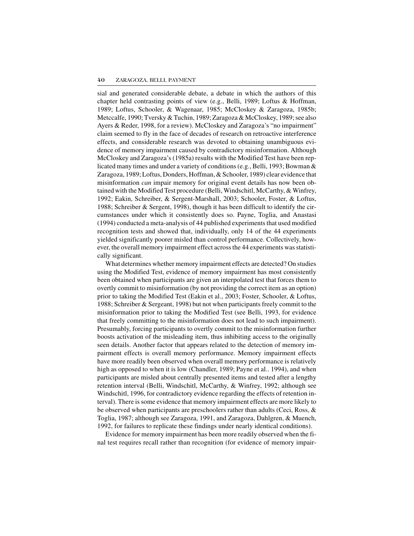sial and generated considerable debate, a debate in which the authors of this chapter held contrasting points of view (e.g., Belli, 1989; Loftus & Hoffman, 1989; Loftus, Schooler, & Wagenaar, 1985; McCloskey & Zaragoza, 1985b; Metccalfe, 1990; Tversky & Tuchin, 1989; Zaragoza & McCloskey, 1989; see also Ayers & Reder, 1998, for a review). McCloskey and Zaragoza's "no impairment" claim seemed to fly in the face of decades of research on retroactive interference effects, and considerable research was devoted to obtaining unambiguous evidence of memory impairment caused by contradictory misinformation. Although McCloskey and Zaragoza's (1985a) results with the Modified Test have been replicated many times and under a variety of conditions (e.g., Belli, 1993; Bowman & Zaragoza, 1989; Loftus, Donders, Hoffman, & Schooler, 1989) clear evidence that misinformation *can* impair memory for original event details has now been obtained with the Modified Test procedure (Belli, Windschitl, McCarthy, & Winfrey, 1992; Eakin, Schreiber, & Sergent-Marshall, 2003; Schooler, Foster, & Loftus, 1988; Schreiber & Sergent, 1998), though it has been difficult to identify the circumstances under which it consistently does so. Payne, Toglia, and Anastasi (1994) conducted a meta-analysis of 44 published experiments that used modified recognition tests and showed that, individually, only 14 of the 44 experiments yielded significantly poorer misled than control performance. Collectively, however, the overall memory impairment effect across the 44 experiments was statistically significant.

What determines whether memory impairment effects are detected? On studies using the Modified Test, evidence of memory impairment has most consistently been obtained when participants are given an interpolated test that forces them to overtly commit to misinformation (by not providing the correct item as an option) prior to taking the Modified Test (Eakin et al., 2003; Foster, Schooler, & Loftus, 1988; Schreiber & Sergeant, 1998) but not when participants freely commit to the misinformation prior to taking the Modified Test (see Belli, 1993, for evidence that freely committing to the misinformation does not lead to such impairment). Presumably, forcing participants to overtly commit to the misinformation further boosts activation of the misleading item, thus inhibiting access to the originally seen details. Another factor that appears related to the detection of memory impairment effects is overall memory performance. Memory impairment effects have more readily been observed when overall memory performance is relatively high as opposed to when it is low (Chandler, 1989; Payne et al.. 1994), and when participants are misled about centrally presented items and tested after a lengthy retention interval (Belli, Windschitl, McCarthy, & Winfrey, 1992; although see Windschitl, 1996, for contradictory evidence regarding the effects of retention interval). There is some evidence that memory impairment effects are more likely to be observed when participants are preschoolers rather than adults (Ceci, Ross, & Toglia, 1987; although see Zaragoza, 1991, and Zaragoza, Dahlgren, & Muench, 1992, for failures to replicate these findings under nearly identical conditions).

Evidence for memory impairment has been more readily observed when the final test requires recall rather than recognition (for evidence of memory impair-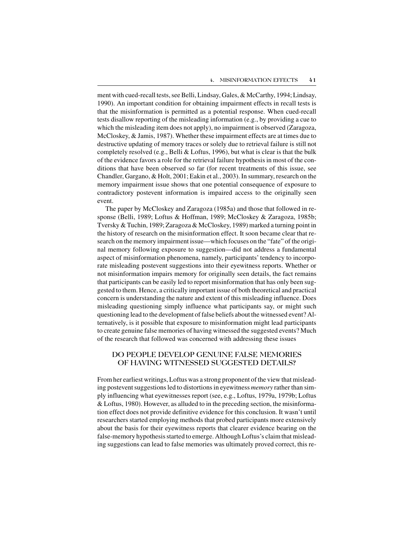ment with cued-recall tests, see Belli, Lindsay, Gales, & McCarthy, 1994; Lindsay, 1990). An important condition for obtaining impairment effects in recall tests is that the misinformation is permitted as a potential response. When cued-recall tests disallow reporting of the misleading information (e.g., by providing a cue to which the misleading item does not apply), no impairment is observed (Zaragoza, McCloskey, & Jamis, 1987). Whether these impairment effects are at times due to destructive updating of memory traces or solely due to retrieval failure is still not completely resolved (e.g., Belli & Loftus, 1996), but what is clear is that the bulk of the evidence favors a role for the retrieval failure hypothesis in most of the conditions that have been observed so far (for recent treatments of this issue, see Chandler, Gargano, & Holt, 2001; Eakin et al., 2003). In summary, research on the memory impairment issue shows that one potential consequence of exposure to contradictory postevent information is impaired access to the originally seen event.

The paper by McCloskey and Zaragoza (1985a) and those that followed in response (Belli, 1989; Loftus & Hoffman, 1989; McCloskey & Zaragoza, 1985b; Tversky & Tuchin, 1989; Zaragoza & McCloskey, 1989) marked a turning point in the history of research on the misinformation effect. It soon became clear that research on the memory impairment issue—which focuses on the "fate" of the original memory following exposure to suggestion—did not address a fundamental aspect of misinformation phenomena, namely, participants' tendency to incorporate misleading postevent suggestions into their eyewitness reports. Whether or not misinformation impairs memory for originally seen details, the fact remains that participants can be easily led to report misinformation that has only been suggested to them. Hence, a critically important issue of both theoretical and practical concern is understanding the nature and extent of this misleading influence. Does misleading questioning simply influence what participants say, or might such questioning lead to the development of false beliefs about the witnessed event? Alternatively, is it possible that exposure to misinformation might lead participants to create genuine false memories of having witnessed the suggested events? Much of the research that followed was concerned with addressing these issues

# DO PEOPLE DEVELOP GENUINE FALSE MEMORIES OF HAVING WITNESSED SUGGESTED DETAILS?

From her earliest writings, Loftus was a strong proponent of the view that misleading postevent suggestions led to distortions in eyewitness *memory* rather than simply influencing what eyewitnesses report (see, e.g., Loftus, 1979a, 1979b; Loftus & Loftus, 1980). However, as alluded to in the preceding section, the misinformation effect does not provide definitive evidence for this conclusion. It wasn't until researchers started employing methods that probed participants more extensively about the basis for their eyewitness reports that clearer evidence bearing on the false-memory hypothesis started to emerge. Although Loftus's claim that misleading suggestions can lead to false memories was ultimately proved correct, this re-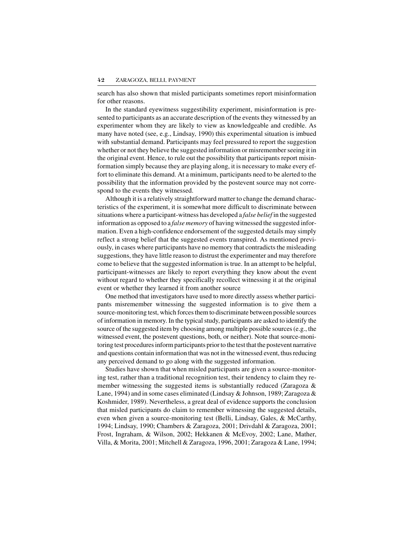search has also shown that misled participants sometimes report misinformation for other reasons.

In the standard eyewitness suggestibility experiment, misinformation is presented to participants as an accurate description of the events they witnessed by an experimenter whom they are likely to view as knowledgeable and credible. As many have noted (see, e.g., Lindsay, 1990) this experimental situation is imbued with substantial demand. Participants may feel pressured to report the suggestion whether or not they believe the suggested information or misremember seeing it in the original event. Hence, to rule out the possibility that participants report misinformation simply because they are playing along, it is necessary to make every effort to eliminate this demand. At a minimum, participants need to be alerted to the possibility that the information provided by the postevent source may not correspond to the events they witnessed.

Although it is a relatively straightforward matter to change the demand characteristics of the experiment, it is somewhat more difficult to discriminate between situations where a participant-witness has developed a *false belief* in the suggested information as opposed to a *false memory* of having witnessed the suggested information. Even a high-confidence endorsement of the suggested details may simply reflect a strong belief that the suggested events transpired. As mentioned previously, in cases where participants have no memory that contradicts the misleading suggestions, they have little reason to distrust the experimenter and may therefore come to believe that the suggested information is true. In an attempt to be helpful, participant-witnesses are likely to report everything they know about the event without regard to whether they specifically recollect witnessing it at the original event or whether they learned it from another source

One method that investigators have used to more directly assess whether participants misremember witnessing the suggested information is to give them a source-monitoring test, which forces them to discriminate between possible sources of information in memory. In the typical study, participants are asked to identify the source of the suggested item by choosing among multiple possible sources (e.g., the witnessed event, the postevent questions, both, or neither). Note that source-monitoring test procedures inform participants prior to the test that the postevent narrative and questions contain information that was not in the witnessed event, thus reducing any perceived demand to go along with the suggested information.

Studies have shown that when misled participants are given a source-monitoring test, rather than a traditional recognition test, their tendency to claim they remember witnessing the suggested items is substantially reduced (Zaragoza  $\&$ Lane, 1994) and in some cases eliminated (Lindsay & Johnson, 1989; Zaragoza & Koshmider, 1989). Nevertheless, a great deal of evidence supports the conclusion that misled participants do claim to remember witnessing the suggested details, even when given a source-monitoring test (Belli, Lindsay, Gales, & McCarthy, 1994; Lindsay, 1990; Chambers & Zaragoza, 2001; Drivdahl & Zaragoza, 2001; Frost, Ingraham, & Wilson, 2002; Hekkanen & McEvoy, 2002; Lane, Mather, Villa, & Morita, 2001; Mitchell & Zaragoza, 1996, 2001; Zaragoza & Lane, 1994;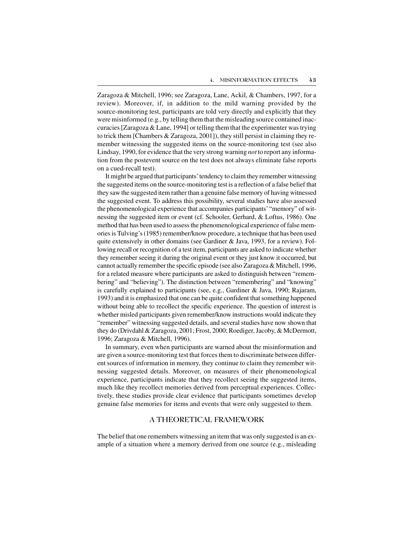Zaragoza & Mitchell, 1996; see Zaragoza, Lane, Ackil, & Chambers, 1997, for a review). Moreover, if, in addition to the mild warning provided by the source-monitoring test, participants are told very directly and explicitly that they were misinformed (e.g., by telling them that the misleading source contained inaccuracies [Zaragoza & Lane, 1994] or telling them that the experimenter was trying to trick them [Chambers  $& Zaragoza, 2001$ ]), they still persist in claiming they remember witnessing the suggested items on the source-monitoring test (see also Lindsay, 1990, for evidence that the very strong warning *not* to report any information from the postevent source on the test does not always eliminate false reports on a cued-recall test).

It might be argued that participants'tendency to claim they remember witnessing the suggested items on the source-monitoring test is a reflection of a false belief that they saw the suggested item rather than a genuine false memory of having witnessed the suggested event. To address this possibility, several studies have also assessed the phenomenological experience that accompanies participants'"memory" of witnessing the suggested item or event (cf. Schooler, Gerhard, & Loftus, 1986). One method that has been used to assess the phenomenological experience of false memories is Tulving's (1985) remember/know procedure, a technique that has been used quite extensively in other domains (see Gardiner & Java, 1993, for a review). Following recall or recognition of a test item, participants are asked to indicate whether they remember seeing it during the original event or they just know it occurred, but cannot actually remember the specific episode (see also Zaragoza & Mitchell, 1996, for a related measure where participants are asked to distinguish between "remembering" and "believing"). The distinction between "remembering" and "knowing" is carefully explained to participants (see, e.g., Gardiner & Java, 1990; Rajaram, 1993) and it is emphasized that one can be quite confident that something happened without being able to recollect the specific experience. The question of interest is whether misled participants given remember/know instructions would indicate they "remember" witnessing suggested details, and several studies have now shown that they do (Drivdahl & Zaragoza, 2001; Frost, 2000; Roediger, Jacoby, & McDermott, 1996; Zaragoza & Mitchell, 1996).

In summary, even when participants are warned about the misinformation and are given a source-monitoring test that forces them to discriminate between different sources of information in memory, they continue to claim they remember witnessing suggested details. Moreover, on measures of their phenomenological experience, participants indicate that they recollect seeing the suggested items, much like they recollect memories derived from perceptual experiences. Collectively, these studies provide clear evidence that participants sometimes develop genuine false memories for items and events that were only suggested to them.

## A THEORETICAL FRAMEWORK

The belief that one remembers witnessing an item that was only suggested is an example of a situation where a memory derived from one source (e.g., misleading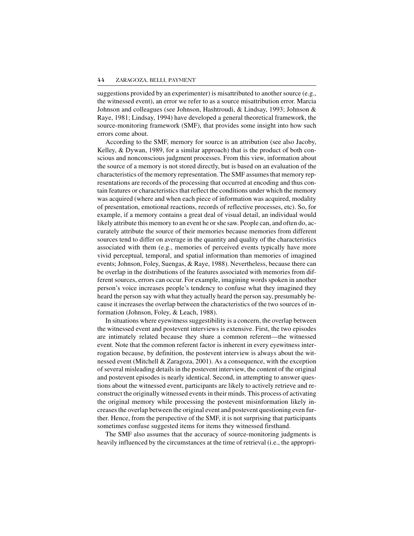suggestions provided by an experimenter) is misattributed to another source (e.g., the witnessed event), an error we refer to as a source misattribution error. Marcia Johnson and colleagues (see Johnson, Hashtroudi, & Lindsay, 1993; Johnson & Raye, 1981; Lindsay, 1994) have developed a general theoretical framework, the source-monitoring framework (SMF), that provides some insight into how such errors come about.

According to the SMF, memory for source is an attribution (see also Jacoby, Kelley,  $\&$  Dywan, 1989, for a similar approach) that is the product of both conscious and nonconscious judgment processes. From this view, information about the source of a memory is not stored directly, but is based on an evaluation of the characteristics of the memory representation. The SMF assumes that memory representations are records of the processing that occurred at encoding and thus contain features or characteristics that reflect the conditions under which the memory was acquired (where and when each piece of information was acquired, modality of presentation, emotional reactions, records of reflective processes, etc). So, for example, if a memory contains a great deal of visual detail, an individual would likely attribute this memory to an event he or she saw. People can, and often do, accurately attribute the source of their memories because memories from different sources tend to differ on average in the quantity and quality of the characteristics associated with them (e.g., memories of perceived events typically have more vivid perceptual, temporal, and spatial information than memories of imagined events; Johnson, Foley, Suengas, & Raye, 1988). Nevertheless, because there can be overlap in the distributions of the features associated with memories from different sources, errors can occur. For example, imagining words spoken in another person's voice increases people's tendency to confuse what they imagined they heard the person say with what they actually heard the person say, presumably because it increases the overlap between the characteristics of the two sources of information (Johnson, Foley, & Leach, 1988).

In situations where eyewitness suggestibility is a concern, the overlap between the witnessed event and postevent interviews is extensive. First, the two episodes are intimately related because they share a common referent—the witnessed event. Note that the common referent factor is inherent in every eyewitness interrogation because, by definition, the postevent interview is always about the witnessed event (Mitchell & Zaragoza, 2001). As a consequence, with the exception of several misleading details in the postevent interview, the content of the original and postevent episodes is nearly identical. Second, in attempting to answer questions about the witnessed event, participants are likely to actively retrieve and reconstruct the originally witnessed events in their minds. This process of activating the original memory while processing the postevent misinformation likely increases the overlap between the original event and postevent questioning even further. Hence, from the perspective of the SMF, it is not surprising that participants sometimes confuse suggested items for items they witnessed firsthand.

The SMF also assumes that the accuracy of source-monitoring judgments is heavily influenced by the circumstances at the time of retrieval (i.e., the appropri-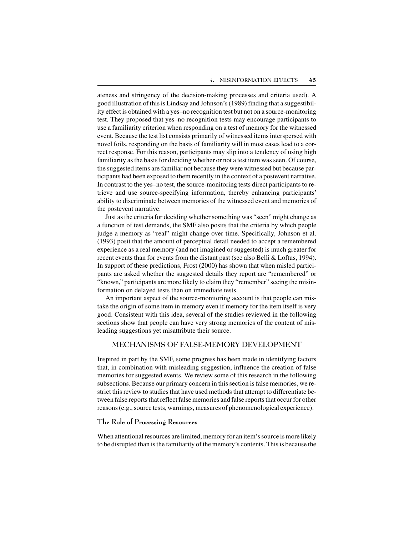ateness and stringency of the decision-making processes and criteria used). A good illustration of this is Lindsay and Johnson's (1989) finding that a suggestibility effect is obtained with a yes–no recognition test but not on a source-monitoring test. They proposed that yes–no recognition tests may encourage participants to use a familiarity criterion when responding on a test of memory for the witnessed event. Because the test list consists primarily of witnessed items interspersed with novel foils, responding on the basis of familiarity will in most cases lead to a correct response. For this reason, participants may slip into a tendency of using high familiarity as the basis for deciding whether or not a test item was seen. Of course, the suggested items are familiar not because they were witnessed but because participants had been exposed to them recently in the context of a postevent narrative. In contrast to the yes–no test, the source-monitoring tests direct participants to retrieve and use source-specifying information, thereby enhancing participants' ability to discriminate between memories of the witnessed event and memories of the postevent narrative.

Just as the criteria for deciding whether something was "seen" might change as a function of test demands, the SMF also posits that the criteria by which people judge a memory as "real" might change over time. Specifically, Johnson et al. (1993) posit that the amount of perceptual detail needed to accept a remembered experience as a real memory (and not imagined or suggested) is much greater for recent events than for events from the distant past (see also Belli & Loftus, 1994). In support of these predictions, Frost (2000) has shown that when misled participants are asked whether the suggested details they report are "remembered" or "known," participants are more likely to claim they "remember" seeing the misinformation on delayed tests than on immediate tests.

An important aspect of the source-monitoring account is that people can mistake the origin of some item in memory even if memory for the item itself is very good. Consistent with this idea, several of the studies reviewed in the following sections show that people can have very strong memories of the content of misleading suggestions yet misattribute their source.

#### MECHANISMS OF FALSE-MEMORY DEVELOPMENT

Inspired in part by the SMF, some progress has been made in identifying factors that, in combination with misleading suggestion, influence the creation of false memories for suggested events. We review some of this research in the following subsections. Because our primary concern in this section is false memories, we restrict this review to studies that have used methods that attempt to differentiate between false reports that reflect false memories and false reports that occur for other reasons (e.g., source tests, warnings, measures of phenomenological experience).

# The Role of Processing Resources

When attentional resources are limited, memory for an item's source is more likely to be disrupted than is the familiarity of the memory's contents. This is because the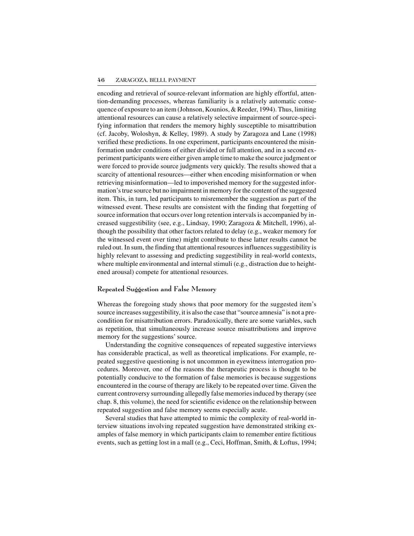encoding and retrieval of source-relevant information are highly effortful, attention-demanding processes, whereas familiarity is a relatively automatic consequence of exposure to an item (Johnson, Kounios, & Reeder, 1994). Thus, limiting attentional resources can cause a relatively selective impairment of source-specifying information that renders the memory highly susceptible to misattribution (cf. Jacoby, Woloshyn, & Kelley, 1989). A study by Zaragoza and Lane (1998) verified these predictions. In one experiment, participants encountered the misinformation under conditions of either divided or full attention, and in a second experiment participants were either given ample time to make the source judgment or were forced to provide source judgments very quickly. The results showed that a scarcity of attentional resources—either when encoding misinformation or when retrieving misinformation—led to impoverished memory for the suggested information's true source but no impairment in memory for the content of the suggested item. This, in turn, led participants to misremember the suggestion as part of the witnessed event. These results are consistent with the finding that forgetting of source information that occurs over long retention intervals is accompanied by increased suggestibility (see, e.g., Lindsay, 1990; Zaragoza & Mitchell, 1996), although the possibility that other factors related to delay (e.g., weaker memory for the witnessed event over time) might contribute to these latter results cannot be ruled out. In sum, the finding that attentional resources influences suggestibility is highly relevant to assessing and predicting suggestibility in real-world contexts, where multiple environmental and internal stimuli (e.g., distraction due to heightened arousal) compete for attentional resources.

#### Repeated Suggestion and False Memory

Whereas the foregoing study shows that poor memory for the suggested item's source increases suggestibility, it is also the case that "source amnesia" is not a precondition for misattribution errors. Paradoxically, there are some variables, such as repetition, that simultaneously increase source misattributions and improve memory for the suggestions' source.

Understanding the cognitive consequences of repeated suggestive interviews has considerable practical, as well as theoretical implications. For example, repeated suggestive questioning is not uncommon in eyewitness interrogation procedures. Moreover, one of the reasons the therapeutic process is thought to be potentially conducive to the formation of false memories is because suggestions encountered in the course of therapy are likely to be repeated over time. Given the current controversy surrounding allegedly false memories induced by therapy (see chap. 8, this volume), the need for scientific evidence on the relationship between repeated suggestion and false memory seems especially acute.

Several studies that have attempted to mimic the complexity of real-world interview situations involving repeated suggestion have demonstrated striking examples of false memory in which participants claim to remember entire fictitious events, such as getting lost in a mall (e.g., Ceci, Hoffman, Smith, & Loftus, 1994;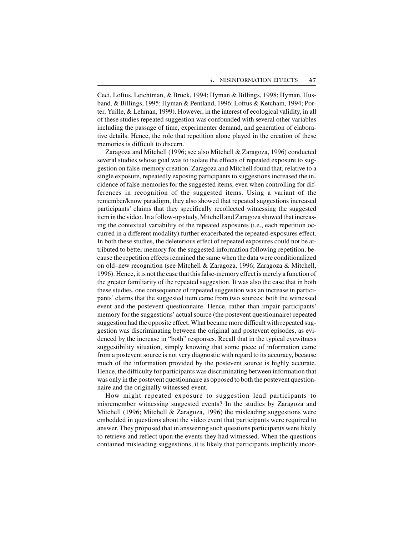Ceci, Loftus, Leichtman, & Bruck, 1994; Hyman & Billings, 1998; Hyman, Husband, & Billings, 1995; Hyman & Pentland, 1996; Loftus & Ketcham, 1994; Porter, Yuille, & Lehman, 1999). However, in the interest of ecological validity, in all of these studies repeated suggestion was confounded with several other variables including the passage of time, experimenter demand, and generation of elaborative details. Hence, the role that repetition alone played in the creation of these memories is difficult to discern.

Zaragoza and Mitchell (1996; see also Mitchell & Zaragoza, 1996) conducted several studies whose goal was to isolate the effects of repeated exposure to suggestion on false-memory creation. Zaragoza and Mitchell found that, relative to a single exposure, repeatedly exposing participants to suggestions increased the incidence of false memories for the suggested items, even when controlling for differences in recognition of the suggested items. Using a variant of the remember/know paradigm, they also showed that repeated suggestions increased participants' claims that they specifically recollected witnessing the suggested item in the video. In a follow-up study, Mitchell and Zaragoza showed that increasing the contextual variability of the repeated exposures (i.e., each repetition occurred in a different modality) further exacerbated the repeated-exposures effect. In both these studies, the deleterious effect of repeated exposures could not be attributed to better memory for the suggested information following repetition, because the repetition effects remained the same when the data were conditionalized on old–new recognition (see Mitchell & Zaragoza, 1996; Zaragoza & Mitchell, 1996). Hence, it is not the case that this false-memory effect is merely a function of the greater familiarity of the repeated suggestion. It was also the case that in both these studies, one consequence of repeated suggestion was an increase in participants' claims that the suggested item came from two sources: both the witnessed event and the postevent questionnaire. Hence, rather than impair participants' memory for the suggestions' actual source (the postevent questionnaire) repeated suggestion had the opposite effect. What became more difficult with repeated suggestion was discriminating between the original and postevent episodes, as evidenced by the increase in "both" responses. Recall that in the typical eyewitness suggestibility situation, simply knowing that some piece of information came from a postevent source is not very diagnostic with regard to its accuracy, because much of the information provided by the postevent source is highly accurate. Hence, the difficulty for participants was discriminating between information that was only in the postevent questionnaire as opposed to both the postevent questionnaire and the originally witnessed event.

How might repeated exposure to suggestion lead participants to misremember witnessing suggested events? In the studies by Zaragoza and Mitchell (1996; Mitchell & Zaragoza, 1996) the misleading suggestions were embedded in questions about the video event that participants were required to answer. They proposed that in answering such questions participants were likely to retrieve and reflect upon the events they had witnessed. When the questions contained misleading suggestions, it is likely that participants implicitly incor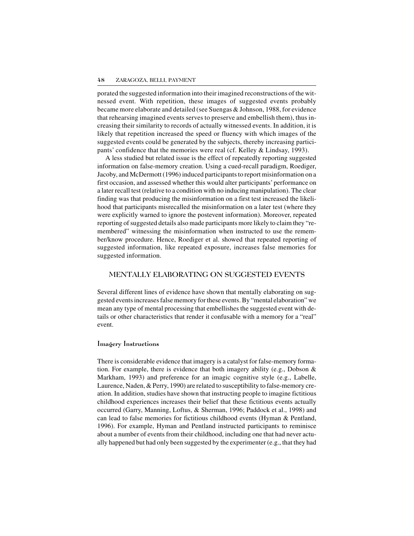porated the suggested information into their imagined reconstructions of the witnessed event. With repetition, these images of suggested events probably became more elaborate and detailed (see Suengas & Johnson, 1988, for evidence that rehearsing imagined events serves to preserve and embellish them), thus increasing their similarity to records of actually witnessed events. In addition, it is likely that repetition increased the speed or fluency with which images of the suggested events could be generated by the subjects, thereby increasing participants' confidence that the memories were real (cf. Kelley & Lindsay, 1993).

A less studied but related issue is the effect of repeatedly reporting suggested information on false-memory creation. Using a cued-recall paradigm, Roediger, Jacoby, and McDermott (1996) induced participants to report misinformation on a first occasion, and assessed whether this would alter participants' performance on a later recall test (relative to a condition with no inducing manipulation). The clear finding was that producing the misinformation on a first test increased the likelihood that participants misrecalled the misinformation on a later test (where they were explicitly warned to ignore the postevent information). Moreover, repeated reporting of suggested details also made participants more likely to claim they "remembered" witnessing the misinformation when instructed to use the remember/know procedure. Hence, Roediger et al. showed that repeated reporting of suggested information, like repeated exposure, increases false memories for suggested information.

### MENTALLY ELABORATING ON SUGGESTED EVENTS

Several different lines of evidence have shown that mentally elaborating on suggested events increases false memory for these events. By "mental elaboration" we mean any type of mental processing that embellishes the suggested event with details or other characteristics that render it confusable with a memory for a "real" event.

#### Imagery Instructions

There is considerable evidence that imagery is a catalyst for false-memory formation. For example, there is evidence that both imagery ability (e.g., Dobson  $\&$ Markham, 1993) and preference for an imagic cognitive style (e.g., Labelle, Laurence, Naden, & Perry, 1990) are related to susceptibility to false-memory creation. In addition, studies have shown that instructing people to imagine fictitious childhood experiences increases their belief that these fictitious events actually occurred (Garry, Manning, Loftus, & Sherman, 1996; Paddock et al., 1998) and can lead to false memories for fictitious childhood events (Hyman & Pentland, 1996). For example, Hyman and Pentland instructed participants to reminisce about a number of events from their childhood, including one that had never actually happened but had only been suggested by the experimenter (e.g., that they had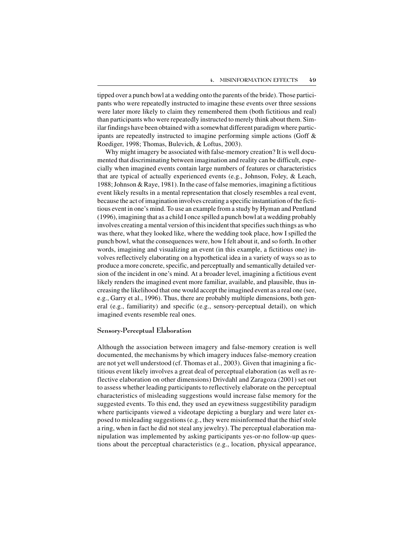tipped over a punch bowl at a wedding onto the parents of the bride). Those participants who were repeatedly instructed to imagine these events over three sessions were later more likely to claim they remembered them (both fictitious and real) than participants who were repeatedly instructed to merely think about them. Similar findings have been obtained with a somewhat different paradigm where participants are repeatedly instructed to imagine performing simple actions (Goff & Roediger, 1998; Thomas, Bulevich, & Loftus, 2003).

Why might imagery be associated with false-memory creation? It is well documented that discriminating between imagination and reality can be difficult, especially when imagined events contain large numbers of features or characteristics that are typical of actually experienced events (e.g., Johnson, Foley, & Leach, 1988; Johnson & Raye, 1981). In the case of false memories, imagining a fictitious event likely results in a mental representation that closely resembles a real event, because the act of imagination involves creating a specific instantiation of the fictitious event in one's mind. To use an example from a study by Hyman and Pentland (1996), imagining that as a child I once spilled a punch bowl at a wedding probably involves creating a mental version of this incident that specifies such things as who was there, what they looked like, where the wedding took place, how I spilled the punch bowl, what the consequences were, how I felt about it, and so forth. In other words, imagining and visualizing an event (in this example, a fictitious one) involves reflectively elaborating on a hypothetical idea in a variety of ways so as to produce a more concrete, specific, and perceptually and semantically detailed version of the incident in one's mind. At a broader level, imagining a fictitious event likely renders the imagined event more familiar, available, and plausible, thus increasing the likelihood that one would accept the imagined event as a real one (see, e.g., Garry et al., 1996). Thus, there are probably multiple dimensions, both general (e.g., familiarity) and specific (e.g., sensory-perceptual detail), on which imagined events resemble real ones.

# Sensory-Perceptual Elaboration

Although the association between imagery and false-memory creation is well documented, the mechanisms by which imagery induces false-memory creation are not yet well understood (cf. Thomas et al., 2003). Given that imagining a fictitious event likely involves a great deal of perceptual elaboration (as well as reflective elaboration on other dimensions) Drivdahl and Zaragoza (2001) set out to assess whether leading participants to reflectively elaborate on the perceptual characteristics of misleading suggestions would increase false memory for the suggested events. To this end, they used an eyewitness suggestibility paradigm where participants viewed a videotape depicting a burglary and were later exposed to misleading suggestions (e.g., they were misinformed that the thief stole a ring, when in fact he did not steal any jewelry). The perceptual elaboration manipulation was implemented by asking participants yes-or-no follow-up questions about the perceptual characteristics (e.g., location, physical appearance,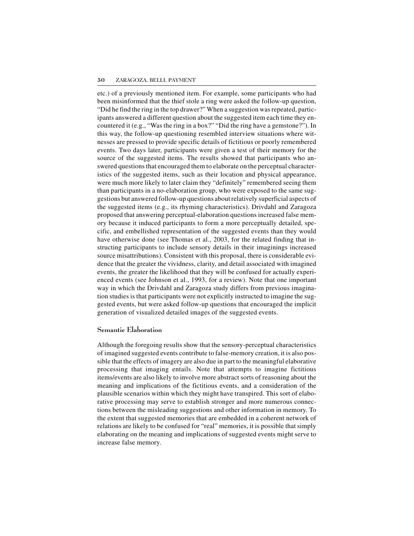etc.) of a previously mentioned item. For example, some participants who had been misinformed that the thief stole a ring were asked the follow-up question, "Did he find the ring in the top drawer?" When a suggestion was repeated, participants answered a different question about the suggested item each time they encountered it (e.g., "Was the ring in a box?" "Did the ring have a gemstone?"). In this way, the follow-up questioning resembled interview situations where witnesses are pressed to provide specific details of fictitious or poorly remembered events. Two days later, participants were given a test of their memory for the source of the suggested items. The results showed that participants who answered questions that encouraged them to elaborate on the perceptual characteristics of the suggested items, such as their location and physical appearance, were much more likely to later claim they "definitely" remembered seeing them than participants in a no-elaboration group, who were exposed to the same suggestions but answered follow-up questions aboutrelatively superficial aspects of the suggested items (e.g., its rhyming characteristics). Drivdahl and Zaragoza proposed that answering perceptual-elaboration questions increased false memory because it induced participants to form a more perceptually detailed, specific, and embellished representation of the suggested events than they would have otherwise done (see Thomas et al., 2003, for the related finding that instructing participants to include sensory details in their imaginings increased source misattributions). Consistent with this proposal, there is considerable evidence that the greater the vividness, clarity, and detail associated with imagined events, the greater the likelihood that they will be confused for actually experienced events (see Johnson et al., 1993, for a review). Note that one important way in which the Drivdahl and Zaragoza study differs from previous imagination studies is that participants were not explicitly instructed to imagine the suggested events, but were asked follow-up questions that encouraged the implicit generation of visualized detailed images of the suggested events.

#### Semantic Elaboration

Although the foregoing results show that the sensory-perceptual characteristics of imagined suggested events contribute to false-memory creation, it is also possible that the effects of imagery are also due in part to the meaningful elaborative processing that imaging entails. Note that attempts to imagine fictitious items/events are also likely to involve more abstract sorts of reasoning about the meaning and implications of the fictitious events, and a consideration of the plausible scenarios within which they might have transpired. This sort of elaborative processing may serve to establish stronger and more numerous connections between the misleading suggestions and other information in memory. To the extent that suggested memories that are embedded in a coherent network of relations are likely to be confused for "real" memories, it is possible that simply elaborating on the meaning and implications of suggested events might serve to increase false memory.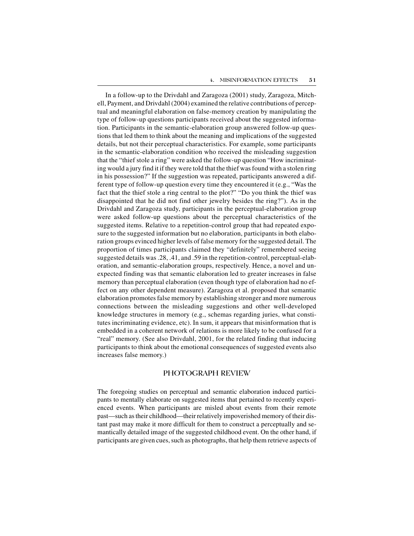In a follow-up to the Drivdahl and Zaragoza (2001) study, Zaragoza, Mitchell, Payment, and Drivdahl (2004) examined the relative contributions of perceptual and meaningful elaboration on false-memory creation by manipulating the type of follow-up questions participants received about the suggested information. Participants in the semantic-elaboration group answered follow-up questions that led them to think about the meaning and implications of the suggested details, but not their perceptual characteristics. For example, some participants in the semantic-elaboration condition who received the misleading suggestion that the "thief stole a ring" were asked the follow-up question "How incriminating would a jury find it if they were told that the thief was found with a stolen ring in his possession?" If the suggestion was repeated, participants answered a different type of follow-up question every time they encountered it (e.g., "Was the fact that the thief stole a ring central to the plot?" "Do you think the thief was disappointed that he did not find other jewelry besides the ring?"). As in the Drivdahl and Zaragoza study, participants in the perceptual-elaboration group were asked follow-up questions about the perceptual characteristics of the suggested items. Relative to a repetition-control group that had repeated exposure to the suggested information but no elaboration, participants in both elaboration groups evinced higher levels of false memory for the suggested detail. The proportion of times participants claimed they "definitely" remembered seeing suggested details was .28, .41, and .59 in the repetition-control, perceptual-elaboration, and semantic-elaboration groups, respectively. Hence, a novel and unexpected finding was that semantic elaboration led to greater increases in false memory than perceptual elaboration (even though type of elaboration had no effect on any other dependent measure). Zaragoza et al. proposed that semantic elaboration promotes false memory by establishing stronger and more numerous connections between the misleading suggestions and other well-developed knowledge structures in memory (e.g., schemas regarding juries, what constitutes incriminating evidence, etc). In sum, it appears that misinformation that is embedded in a coherent network of relations is more likely to be confused for a "real" memory. (See also Drivdahl, 2001, for the related finding that inducing participants to think about the emotional consequences of suggested events also increases false memory.)

#### PHOTOGRAPH REVIEW

The foregoing studies on perceptual and semantic elaboration induced participants to mentally elaborate on suggested items that pertained to recently experienced events. When participants are misled about events from their remote past—such as their childhood—their relatively impoverished memory of their distant past may make it more difficult for them to construct a perceptually and semantically detailed image of the suggested childhood event. On the other hand, if participants are given cues, such as photographs, that help them retrieve aspects of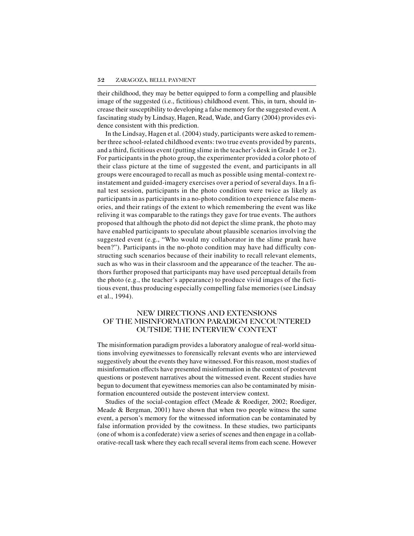their childhood, they may be better equipped to form a compelling and plausible image of the suggested (i.e., fictitious) childhood event. This, in turn, should increase their susceptibility to developing a false memory for the suggested event. A fascinating study by Lindsay, Hagen, Read, Wade, and Garry (2004) provides evidence consistent with this prediction.

In the Lindsay, Hagen et al. (2004) study, participants were asked to remember three school-related childhood events: two true events provided by parents, and a third, fictitious event (putting slime in the teacher's desk in Grade 1 or 2). For participants in the photo group, the experimenter provided a color photo of their class picture at the time of suggested the event, and participants in all groups were encouraged to recall as much as possible using mental-context reinstatement and guided-imagery exercises over a period of several days. In a final test session, participants in the photo condition were twice as likely as participants in as participants in a no-photo condition to experience false memories, and their ratings of the extent to which remembering the event was like reliving it was comparable to the ratings they gave for true events. The authors proposed that although the photo did not depict the slime prank, the photo may have enabled participants to speculate about plausible scenarios involving the suggested event (e.g., "Who would my collaborator in the slime prank have been?"). Participants in the no-photo condition may have had difficulty constructing such scenarios because of their inability to recall relevant elements, such as who was in their classroom and the appearance of the teacher. The authors further proposed that participants may have used perceptual details from the photo (e.g., the teacher's appearance) to produce vivid images of the fictitious event, thus producing especially compelling false memories (see Lindsay et al., 1994).

# NEW DIRECTIONS AND EXTENSIONS OF THE MISINFORMATION PARADIGM ENCOUNTERED OUTSIDE THE INTERVIEW CONTEXT

The misinformation paradigm provides a laboratory analogue of real-world situations involving eyewitnesses to forensically relevant events who are interviewed suggestively about the events they have witnessed. For this reason, most studies of misinformation effects have presented misinformation in the context of postevent questions or postevent narratives about the witnessed event. Recent studies have begun to document that eyewitness memories can also be contaminated by misinformation encountered outside the postevent interview context.

Studies of the social-contagion effect (Meade & Roediger, 2002; Roediger, Meade & Bergman, 2001) have shown that when two people witness the same event, a person's memory for the witnessed information can be contaminated by false information provided by the cowitness. In these studies, two participants (one of whom is a confederate) view a series of scenes and then engage in a collaborative-recall task where they each recall several items from each scene. However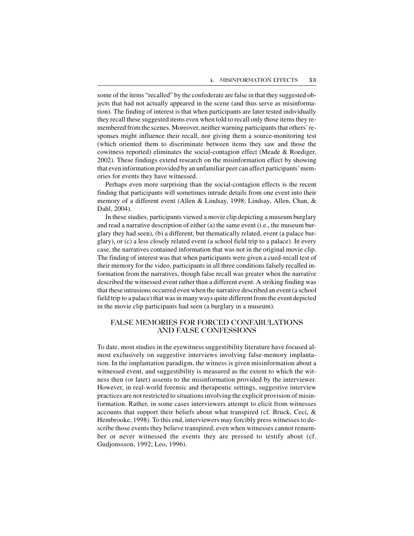some of the items "recalled" by the confederate are false in that they suggested objects that had not actually appeared in the scene (and thus serve as misinformation). The finding of interest is that when participants are later tested individually they recall these suggested items even when told to recall only those items they remembered from the scenes. Moreover, neither warning participants that others'responses might influence their recall, nor giving them a source-monitoring test (which oriented them to discriminate between items they saw and those the cowitness reported) eliminates the social-contagion effect (Meade & Roediger, 2002). These findings extend research on the misinformation effect by showing that even information provided by an unfamiliar peer can affect participants'memories for events they have witnessed.

Perhaps even more surprising than the social-contagion effects is the recent finding that participants will sometimes intrude details from one event into their memory of a different event (Allen & Lindsay, 1998; Lindsay, Allen, Chan, & Dahl, 2004).

In these studies, participants viewed a movie clip depicting a museum burglary and read a narrative description of either (a) the same event (i.e., the museum burglary they had seen), (b) a different, but thematically related, event (a palace burglary), or (c) a less closely related event (a school field trip to a palace). In every case, the narratives contained information that was not in the original movie clip. The finding of interest was that when participants were given a cued-recall test of their memory for the video, participants in all three conditions falsely recalled information from the narratives, though false recall was greater when the narrative described the witnessed event rather than a different event. A striking finding was that these intrusions occurred even when the narrative described an event (a school field trip to a palace) that was in many ways quite different from the event depicted in the movie clip participants had seen (a burglary in a museum).

# FALSE MEMORIES FOR FORCED CONFABULATIONS AND FALSE CONFESSIONS

To date, most studies in the eyewitness suggestibility literature have focused almost exclusively on suggestive interviews involving false-memory implantation. In the implantation paradigm, the witness is given misinformation about a witnessed event, and suggestibility is measured as the extent to which the witness then (or later) assents to the misinformation provided by the interviewer. However, in real-world forensic and therapeutic settings, suggestive interview practices are not restricted to situations involving the explicit provision of misinformation. Rather, in some cases interviewers attempt to elicit from witnesses accounts that support their beliefs about what transpired (cf. Bruck, Ceci, & Hembrooke, 1998). To this end, interviewers may forcibly press witnesses to describe those events they believe transpired, even when witnesses cannot remember or never witnessed the events they are pressed to testify about (cf. Gudjonssson, 1992; Leo, 1996).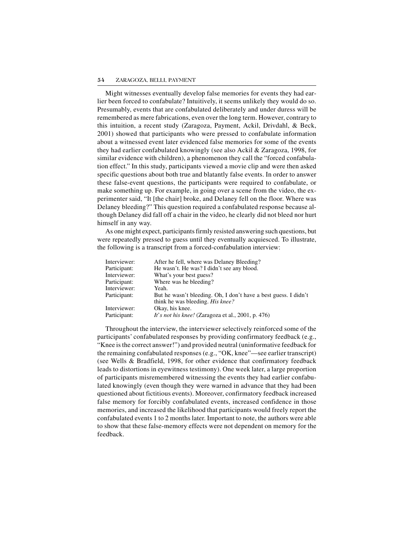#### 54 ZARAGOZA, BELLI, PAYMENT

Might witnesses eventually develop false memories for events they had earlier been forced to confabulate? Intuitively, it seems unlikely they would do so. Presumably, events that are confabulated deliberately and under duress will be remembered as mere fabrications, even over the long term. However, contrary to this intuition, a recent study (Zaragoza, Payment, Ackil, Drivdahl, & Beck, 2001) showed that participants who were pressed to confabulate information about a witnessed event later evidenced false memories for some of the events they had earlier confabulated knowingly (see also Ackil & Zaragoza, 1998, for similar evidence with children), a phenomenon they call the "forced confabulation effect." In this study, participants viewed a movie clip and were then asked specific questions about both true and blatantly false events. In order to answer these false-event questions, the participants were required to confabulate, or make something up. For example, in going over a scene from the video, the experimenter said, "It [the chair] broke, and Delaney fell on the floor. Where was Delaney bleeding?" This question required a confabulated response because although Delaney did fall off a chair in the video, he clearly did not bleed nor hurt himself in any way.

As one might expect, participants firmly resisted answering such questions, but were repeatedly pressed to guess until they eventually acquiesced. To illustrate, the following is a transcript from a forced-confabulation interview:

| Interviewer: | After he fell, where was Delaney Bleeding?                      |
|--------------|-----------------------------------------------------------------|
| Participant: | He wasn't. He was? I didn't see any blood.                      |
| Interviewer: | What's your best guess?                                         |
| Participant: | Where was he bleeding?                                          |
| Interviewer: | Yeah.                                                           |
| Participant: | But he wasn't bleeding. Oh, I don't have a best guess. I didn't |
|              | think he was bleeding. His knee?                                |
| Interviewer: | Okay, his knee.                                                 |
| Participant: | It's not his knee! (Zaragoza et al., 2001, p. 476)              |

Throughout the interview, the interviewer selectively reinforced some of the participants' confabulated responses by providing confirmatory feedback (e.g., "Knee is the correct answer!") and provided neutral (uninformative feedback for the remaining confabulated responses (e.g., "OK, knee"—see earlier transcript) (see Wells & Bradfield, 1998, for other evidence that confirmatory feedback leads to distortions in eyewitness testimony). One week later, a large proportion of participants misremembered witnessing the events they had earlier confabulated knowingly (even though they were warned in advance that they had been questioned about fictitious events). Moreover, confirmatory feedback increased false memory for forcibly confabulated events, increased confidence in those memories, and increased the likelihood that participants would freely report the confabulated events 1 to 2 months later. Important to note, the authors were able to show that these false-memory effects were not dependent on memory for the feedback.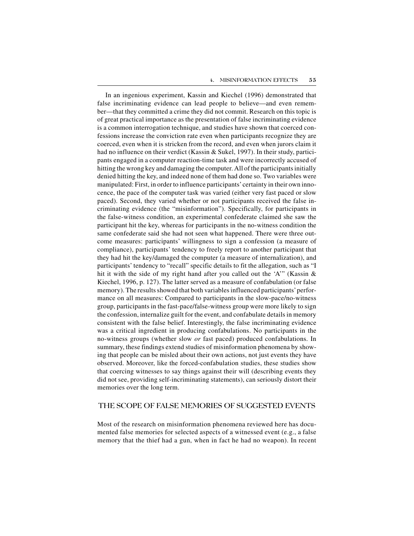In an ingenious experiment, Kassin and Kiechel (1996) demonstrated that false incriminating evidence can lead people to believe—and even remember—that they committed a crime they did not commit. Research on this topic is of great practical importance as the presentation of false incriminating evidence is a common interrogation technique, and studies have shown that coerced confessions increase the conviction rate even when participants recognize they are coerced, even when it is stricken from the record, and even when jurors claim it had no influence on their verdict (Kassin & Sukel, 1997). In their study, participants engaged in a computer reaction-time task and were incorrectly accused of hitting the wrong key and damaging the computer. All of the participants initially denied hitting the key, and indeed none of them had done so. Two variables were manipulated: First, in order to influence participants'certainty in their own innocence, the pace of the computer task was varied (either very fast paced or slow paced). Second, they varied whether or not participants received the false incriminating evidence (the "misinformation"). Specifically, for participants in the false-witness condition, an experimental confederate claimed she saw the participant hit the key, whereas for participants in the no-witness condition the same confederate said she had not seen what happened. There were three outcome measures: participants' willingness to sign a confession (a measure of compliance), participants' tendency to freely report to another participant that they had hit the key/damaged the computer (a measure of internalization), and participants' tendency to "recall" specific details to fit the allegation, such as "I hit it with the side of my right hand after you called out the 'A'" (Kassin & Kiechel, 1996, p. 127). The latter served as a measure of confabulation (or false memory). The results showed that both variables influenced participants'performance on all measures: Compared to participants in the slow-pace/no-witness group, participants in the fast-pace/false-witness group were more likely to sign the confession, internalize guilt for the event, and confabulate details in memory consistent with the false belief. Interestingly, the false incriminating evidence was a critical ingredient in producing confabulations. No participants in the no-witness groups (whether slow *or* fast paced) produced confabulations. In summary, these findings extend studies of misinformation phenomena by showing that people can be misled about their own actions, not just events they have observed. Moreover, like the forced-confabulation studies, these studies show that coercing witnesses to say things against their will (describing events they did not see, providing self-incriminating statements), can seriously distort their memories over the long term.

# THE SCOPE OF FALSE MEMORIES OF SUGGESTED EVENTS

Most of the research on misinformation phenomena reviewed here has documented false memories for selected aspects of a witnessed event (e.g., a false memory that the thief had a gun, when in fact he had no weapon). In recent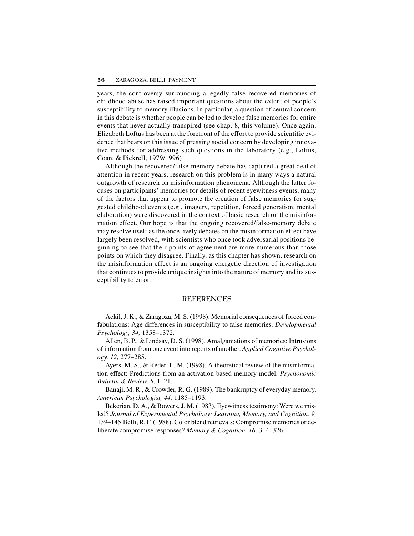years, the controversy surrounding allegedly false recovered memories of childhood abuse has raised important questions about the extent of people's susceptibility to memory illusions. In particular, a question of central concern in this debate is whether people can be led to develop false memories for entire events that never actually transpired (see chap. 8, this volume). Once again, Elizabeth Loftus has been at the forefront of the effort to provide scientific evidence that bears on this issue of pressing social concern by developing innovative methods for addressing such questions in the laboratory (e.g., Loftus, Coan, & Pickrell, 1979/1996)

Although the recovered/false-memory debate has captured a great deal of attention in recent years, research on this problem is in many ways a natural outgrowth of research on misinformation phenomena. Although the latter focuses on participants' memories for details of recent eyewitness events, many of the factors that appear to promote the creation of false memories for suggested childhood events (e.g., imagery, repetition, forced generation, mental elaboration) were discovered in the context of basic research on the misinformation effect. Our hope is that the ongoing recovered/false-memory debate may resolve itself as the once lively debates on the misinformation effect have largely been resolved, with scientists who once took adversarial positions beginning to see that their points of agreement are more numerous than those points on which they disagree. Finally, as this chapter has shown, research on the misinformation effect is an ongoing energetic direction of investigation that continues to provide unique insights into the nature of memory and its susceptibility to error.

#### REFERENCES

Ackil, J. K., & Zaragoza, M. S. (1998). Memorial consequences of forced confabulations: Age differences in susceptibility to false memories. *Developmental Psychology, 34,* 1358–1372.

Allen, B. P., & Lindsay, D. S. (1998). Amalgamations of memories: Intrusions of information from one event into reports of another. *Applied Cognitive Psychology, 12,* 277–285.

Ayers, M. S., & Reder, L. M. (1998). A theoretical review of the misinformation effect: Predictions from an activation-based memory model. *Psychonomic Bulletin & Review, 5,* 1–21.

Banaji, M. R., & Crowder, R. G. (1989). The bankruptcy of everyday memory. *American Psychologist, 44,* 1185–1193.

Bekerian, D. A., & Bowers, J. M. (1983). Eyewitness testimony: Were we misled? *Journal of Experimental Psychology: Learning, Memory, and Cognition, 9,* 139–145.Belli, R. F. (1988). Color blend retrievals: Compromise memories or deliberate compromise responses? *Memory & Cognition, 16,* 314–326.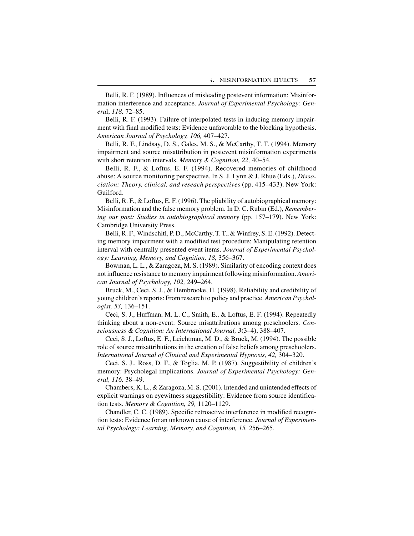Belli, R. F. (1989). Influences of misleading postevent information: Misinformation interference and acceptance. *Journal of Experimental Psychology: Genera*l, *118,* 72–85.

Belli, R. F. (1993). Failure of interpolated tests in inducing memory impairment with final modified tests: Evidence unfavorable to the blocking hypothesis. *American Journal of Psychology, 106,* 407–427.

Belli, R. F., Lindsay, D. S., Gales, M. S., & McCarthy, T. T. (1994). Memory impairment and source misattribution in postevent misinformation experiments with short retention intervals. *Memory & Cognition, 22,* 40–54.

Belli, R. F., & Loftus, E. F. (1994). Recovered memories of childhood abuse: A source monitoring perspective. In S. J. Lynn & J. Rhue (Eds.), *Dissociation: Theory, clinical, and reseach perspectives* (pp. 415–433). New York: Guilford.

Belli, R. F., & Loftus, E. F. (1996). The pliability of autobiographical memory: Misinformation and the false memory problem. In D. C. Rubin (Ed.), *Remembering our past: Studies in autobiographical memory* (pp. 157–179). New York: Cambridge University Press.

Belli, R. F., Windschitl, P. D., McCarthy, T. T., & Winfrey, S. E. (1992). Detecting memory impairment with a modified test procedure: Manipulating retention interval with centrally presented event items. *Journal of Experimental Psychology: Learning, Memory, and Cognition, 18,* 356–367.

Bowman, L. L., & Zaragoza, M. S. (1989). Similarity of encoding context does not influence resistance to memory impairment following misinformation. *American Journal of Psychology, 102,* 249–264.

Bruck, M., Ceci, S. J., & Hembrooke, H. (1998). Reliability and credibility of young children's reports: From research to policy and practice. *American Psychologist, 53,* 136–151.

Ceci, S. J., Huffman, M. L. C., Smith, E., & Loftus, E. F. (1994). Repeatedly thinking about a non-event: Source misattributions among preschoolers. *Consciousness & Cognition: An International Journal, 3*(3–4), 388–407.

Ceci, S. J., Loftus, E. F., Leichtman, M. D., & Bruck, M. (1994). The possible role of source misattributions in the creation of false beliefs among preschoolers. *International Journal of Clinical and Experimental Hypnosis, 42,* 304–320.

Ceci, S. J., Ross, D. F., & Toglia, M. P. (1987). Suggestibility of children's memory: Psycholegal implications. *Journal of Experimental Psychology: General, 116,* 38–49.

Chambers, K. L., & Zaragoza, M. S. (2001). Intended and unintended effects of explicit warnings on eyewitness suggestibility: Evidence from source identification tests. *Memory & Cognition, 29,* 1120–1129.

Chandler, C. C. (1989). Specific retroactive interference in modified recognition tests: Evidence for an unknown cause of interference. *Journal of Experimental Psychology: Learning, Memory, and Cognition, 15,* 256–265.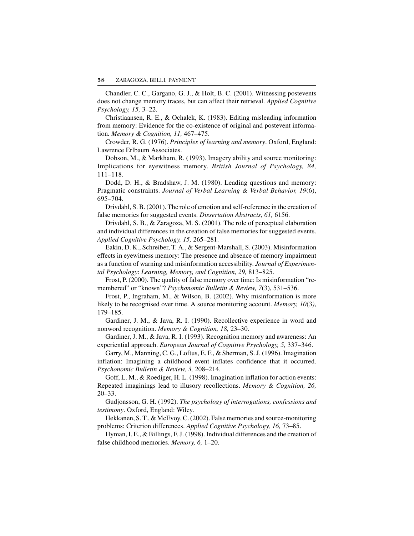Chandler, C. C., Gargano, G. J., & Holt, B. C. (2001). Witnessing postevents does not change memory traces, but can affect their retrieval. *Applied Cognitive Psychology, 15,* 3–22.

Christiaansen, R. E., & Ochalek, K. (1983). Editing misleading information from memory: Evidence for the co-existence of original and postevent information*. Memory & Cognition, 11,* 467–475.

Crowder, R. G. (1976). *Principles of learning and memory*. Oxford, England: Lawrence Erlbaum Associates.

Dobson, M., & Markham, R. (1993). Imagery ability and source monitoring: Implications for eyewitness memory. *British Journal of Psychology, 84,* 111–118.

Dodd, D. H., & Bradshaw, J. M. (1980). Leading questions and memory: Pragmatic constraints. *Journal of Verbal Learning & Verbal Behavior, 19*(6), 695–704.

Drivdahl, S. B. (2001). The role of emotion and self-reference in the creation of false memories for suggested events. *Dissertation Abstracts, 61,* 6156.

Drivdahl, S. B., & Zaragoza, M. S. (2001). The role of perceptual elaboration and individual differences in the creation of false memories for suggested events. *Applied Cognitive Psychology, 15,* 265–281.

Eakin, D. K., Schreiber, T. A., & Sergent-Marshall, S. (2003). Misinformation effects in eyewitness memory: The presence and absence of memory impairment as a function of warning and misinformation accessibility. *Journal of Experimental Psychology*: *Learning, Memory, and Cognition, 29,* 813–825.

Frost, P. (2000). The quality of false memory over time: Is misinformation "remembered" or "known"? *Psychonomic Bulletin & Review, 7*(3), 531–536.

Frost, P., Ingraham, M., & Wilson, B. (2002). Why misinformation is more likely to be recognised over time. A source monitoring account. *Memory, 10*(3*)*, 179–185.

Gardiner, J. M., & Java, R. I. (1990). Recollective experience in word and nonword recognition. *Memory & Cognition, 18,* 23–30.

Gardiner, J. M., & Java, R. I. (1993). Recognition memory and awareness: An experiential approach. *European Journal of Cognitive Psychology, 5,* 337–346.

Garry, M., Manning, C. G., Loftus, E. F., & Sherman, S. J. (1996). Imagination inflation: Imagining a childhood event inflates confidence that it occurred. *Psychonomic Bulletin & Review, 3,* 208–214.

Goff, L. M., & Roediger, H. L. (1998). Imagination inflation for action events: Repeated imaginings lead to illusory recollections. *Memory & Cognition, 26,* 20–33.

Gudjonsson, G. H. (1992). *The psychology of interrogations, confessions and testimony*. Oxford, England: Wiley.

Hekkanen, S. T., & McEvoy, C. (2002). False memories and source-monitoring problems: Criterion differences. *Applied Cognitive Psychology, 16,* 73–85.

Hyman, I. E., & Billings, F. J. (1998). Individual differences and the creation of false childhood memories. *Memory, 6,* 1–20.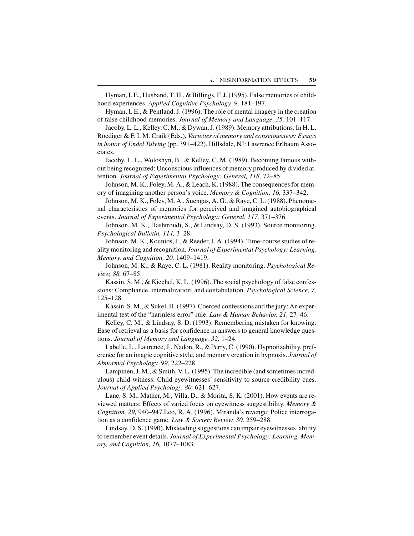Hyman, I. E., Husband, T. H., & Billings, F. J. (1995). False memories of childhood experiences. *Applied Cognitive Psychology, 9,* 181–197.

Hyman, I. E., & Pentland, J. (1996). The role of mental imagery in the creation of false childhood memories. *Journal of Memory and Language, 35,* 101–117.

Jacoby, L. L., Kelley, C. M., & Dywan, J. (1989). Memory attributions. In H. L. Roediger & F. I. M. Craik (Eds.), *Varieties of memory and consciousness: Essays in honor of Endel Tulving* (pp. 391–422). Hillsdale, NJ: Lawrence Erlbaum Associates.

Jacoby, L. L., Woloshyn, B., & Kelley, C. M. (1989). Becoming famous without being recognized: Unconscious influences of memory produced by divided attention. *Journal of Experimental Psychology: General, 118,* 72–85.

Johnson, M. K., Foley, M. A., & Leach, K. (1988). The consequences for memory of imagining another person's voice. *Memory & Cognition, 16,* 337–342.

Johnson, M. K., Foley, M. A., Suengas, A. G., & Raye, C. L. (1988). Phenomenal characteristics of memories for perceived and imagined autobiographical events. *Journal of Experimental Psychology: General*, *117,* 371–376.

Johnson, M. K., Hashtroudi, S., & Lindsay, D. S. (1993). Source monitoring. *Psychological Bulletin, 114,* 3–28.

Johnson, M. K., Kounios, J., & Reeder, J. A. (1994). Time-course studies of reality monitoring and recognition. *Journal of Experimental Psychology: Learning, Memory, and Cognition, 20,* 1409–1419.

Johnson, M. K., & Raye, C. L. (1981). Reality monitoring. *Psychological Review, 88,* 67–85.

Kassin, S. M., & Kiechel, K. L. (1996). The social psychology of false confessions: Compliance, internalization, and confabulation. *Psychological Science, 7,* 125–128.

Kassin, S. M., & Sukel, H. (1997). Coerced confessions and the jury: An experimental test of the "harmless error" rule. *Law & Human Behavior, 21,* 27–46.

Kelley, C. M., & Lindsay, S. D. (1993). Remembering mistaken for knowing: Ease of retrieval as a basis for confidence in answers to general knowledge questions. *Journal of Memory and Language, 32,* 1–24.

Labelle, L., Laurence, J., Nadon, R., & Perry, C. (1990). Hypnotizability, preference for an imagic cognitive style, and memory creation in hypnosis. *Journal of Abnormal Psychology, 99,* 222–228.

Lampinen, J. M., & Smith, V. L. (1995). The incredible (and sometimes incredulous) child witness: Child eyewitnesses' sensitivity to source credibility cues. *Journal of Applied Psychology, 80,* 621–627.

Lane, S. M., Mather, M., Villa, D., & Morita, S. K. (2001). How events are reviewed matters: Effects of varied focus on eyewitness suggestibility. *Memory & Cognition, 29,* 940–947.Leo, R. A. (1996). Miranda's revenge: Police interrogation as a confidence game. *Law & Society Review, 30,* 259–288.

Lindsay, D. S. (1990). Misleading suggestions can impair eyewitnesses'ability to remember event details. *Journal of Experimental Psychology: Learning, Memory, and Cognition, 16,* 1077–1083.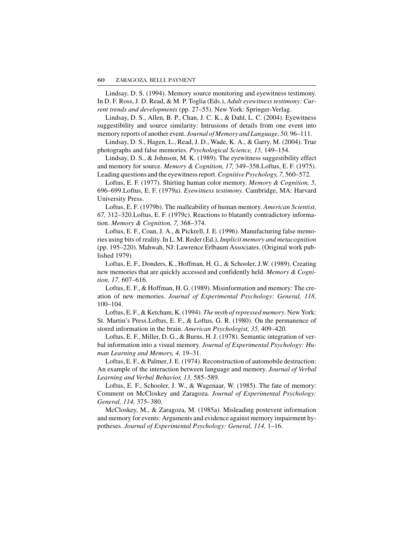#### 60 ZARAGOZA, BELLI, PAYMENT

Lindsay, D. S. (1994). Memory source monitoring and eyewitness testimony. In D. F. Ross, J. D. Read, & M. P. Toglia (Eds.), *Adult eyewitness testimony: Current trends and developments* (pp. 27–55). New York: Springer-Verlag.

Lindsay, D. S., Allen, B. P., Chan, J. C. K., & Dahl, L. C. (2004). Eyewitness suggestibility and source similarity: Intrusions of details from one event into memory reports of another event. *Journal of Memory and Language, 50,* 96–111.

Lindsay, D. S., Hagen, L., Read, J. D., Wade, K. A., & Garry, M. (2004). True photographs and false memories. *Psychological Science, 15,* 149–154.

Lindsay, D. S., & Johnson, M. K. (1989). The eyewitness suggestibility effect and memory for source. *Memory & Cognition, 17,* 349–358.Loftus, E. F. (1975). Leading questions and the eyewitness report.*Cognitive Psychology, 7,* 560–572.

Loftus, E. F. (1977). Shirting human color memory. *Memory & Cognition, 5,* 696–699.Loftus, E. F. (1979a). *Eyewitness testimony*. Cambridge, MA: Harvard University Press.

Loftus, E. F. (1979b). The malleability of human memory. *American Scientist, 67,* 312–320.Loftus, E. F. (1979c). Reactions to blatantly contradictory information. *Memory & Cognition, 7,* 368–374.

Loftus, E. F., Coan, J. A., & Pickrell, J. E. (1996). Manufacturing false memories using bits of reality. In L. M. Reder (Ed.), *Implicit memory and metacognition* (pp. 195–220). Mahwah, NJ: Lawrence Erlbaum Associates. (Original work published 1979)

Loftus, E. F., Donders, K., Hoffman, H. G., & Schooler, J.W. (1989). Creating new memories that are quickly accessed and confidently held. *Memory & Cognition, 17,* 607–616.

Loftus, E. F., & Hoffman, H. G. (1989). Misinformation and memory: The creation of new memories. *Journal of Experimental Psychology: General, 118,* 100–104.

Loftus, E. F., & Ketcham, K. (1994). *The myth of repressed memory*. New York: St. Martin's Press.Loftus, E. F., & Loftus, G. R. (1980). On the permanence of stored information in the brain. *American Psychologist, 35,* 409–420.

Loftus, E. F., Miller, D. G., & Burns, H. J. (1978). Semantic integration of verbal information into a visual memory. *Journal of Experimental Psychology: Human Learning and Memory, 4,* 19–31.

Loftus, E. F., & Palmer, J. E. (1974). Reconstruction of automobile destruction: An example of the interaction between language and memory. *Journal of Verbal Learning and Verbal Behavior, 13,* 585–589.

Loftus, E. F., Schooler, J. W., & Wagenaar, W. (1985). The fate of memory: Comment on McCloskey and Zaragoza. *Journal of Experimental Psychology: General, 114,* 375–380.

McCloskey, M., & Zaragoza, M. (1985a). Misleading postevent information and memory for events: Arguments and evidence against memory impairment hypotheses. *Journal of Experimental Psychology: General, 114,* 1–16.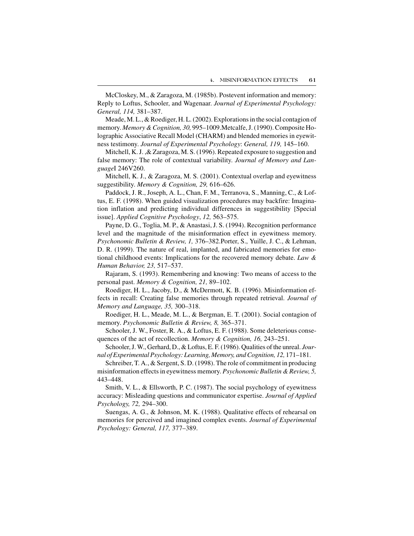McCloskey, M., & Zaragoza, M. (1985b). Postevent information and memory: Reply to Loftus, Schooler, and Wagenaar. *Journal of Experimental Psychology: General, 114,* 381–387.

Meade, M. L., & Roediger, H. L. (2002). Explorations in the social contagion of memory. *Memory & Cognition, 30,* 995–1009.Metcalfe, J. (1990). Composite Holographic Associative Recall Model (CHARM) and blended memories in eyewitness testimony. *Journal of Experimental Psychology*: *General, 119,* 145–160.

Mitchell, K. J. ,& Zaragoza, M. S. (1996). Repeated exposure to suggestion and false memory: The role of contextual variability. *Journal of Memory and Language*I 246V260.

Mitchell, K. J., & Zaragoza, M. S. (2001). Contextual overlap and eyewitness suggestibility. *Memory & Cognition, 29,* 616–626.

Paddock, J. R., Joseph, A. L., Chan, F. M., Terranova, S., Manning, C., & Loftus, E. F. (1998). When guided visualization procedures may backfire: Imagination inflation and predicting individual differences in suggestibility [Special issue]. *Applied Cognitive Psychology*, *12,* 563–575.

Payne, D. G., Toglia, M. P., & Anastasi, J. S. (1994). Recognition performance level and the magnitude of the misinformation effect in eyewitness memory. *Psychonomic Bulletin & Review, 1,* 376–382.Porter, S., Yuille, J. C., & Lehman, D. R. (1999). The nature of real, implanted, and fabricated memories for emotional childhood events: Implications for the recovered memory debate. *Law & Human Behavior, 23,* 517–537.

Rajaram, S. (1993). Remembering and knowing: Two means of access to the personal past. *Memory & Cognition, 21,* 89–102.

Roediger, H. L., Jacoby, D., & McDermott, K. B. (1996). Misinformation effects in recall: Creating false memories through repeated retrieval. *Journal of Memory and Language, 35,* 300–318.

Roediger, H. L., Meade, M. L., & Bergman, E. T. (2001). Social contagion of memory. *Psychonomic Bulletin & Review, 8,* 365–371.

Schooler, J. W., Foster, R. A., & Loftus, E. F. (1988). Some deleterious consequences of the act of recollection. *Memory & Cognition, 16,* 243–251.

Schooler, J. W., Gerhard, D., & Loftus, E. F. (1986). Qualities of the unreal. *Journal of Experimental Psychology: Learning, Memory, and Cognition, 12,* 171–181.

Schreiber, T. A., & Sergent, S. D. (1998). The role of commitment in producing misinformation effects in eyewitness memory. *Psychonomic Bulletin & Review, 5,* 443–448.

Smith, V. L., & Ellsworth, P. C. (1987). The social psychology of eyewitness accuracy: Misleading questions and communicator expertise. *Journal of Applied Psychology, 72,* 294–300.

Suengas, A. G., & Johnson, M. K. (1988). Qualitative effects of rehearsal on memories for perceived and imagined complex events. *Journal of Experimental Psychology: General, 117,* 377–389.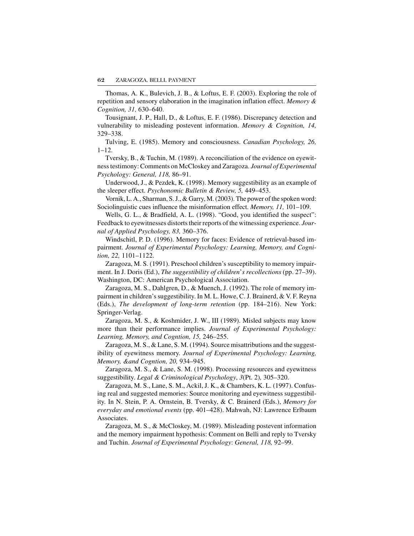Thomas, A. K., Bulevich, J. B., & Loftus, E. F. (2003). Exploring the role of repetition and sensory elaboration in the imagination inflation effect. *Memory & Cognition, 31,* 630–640.

Tousignant, J. P., Hall, D., & Loftus, E. F. (1986). Discrepancy detection and vulnerability to misleading postevent information. *Memory & Cognition, 14,* 329–338.

Tulving, E. (1985). Memory and consciousness. *Canadian Psychology, 26,* 1–12.

Tversky, B., & Tuchin, M. (1989). A reconciliation of the evidence on eyewitness testimony: Comments on McCloskey and Zaragoza. *Journal of Experimental Psychology: General, 118,* 86–91.

Underwood, J., & Pezdek, K. (1998). Memory suggestibility as an example of the sleeper effect. *Psychonomic Bulletin & Review, 5,* 449–453.

Vornik, L. A., Sharman, S. J., & Garry, M. (2003). The power of the spoken word: Sociolinguistic cues influence the misinformation effect. *Memory, 11,* 101–109.

Wells, G. L., & Bradfield, A. L. (1998). "Good, you identified the suspect": Feedback to eyewitnesses distorts their reports of the witnessing experience. *Journal of Applied Psychology, 83,* 360–376.

Windschitl, P. D. (1996). Memory for faces: Evidence of retrieval-based impairment. *Journal of Experimental Psychology: Learning, Memory, and Cognition, 22,* 1101–1122.

Zaragoza, M. S. (1991). Preschool children's susceptibility to memory impairment. In J. Doris (Ed.), *The suggestibility of children*'*s recollections* (pp. 27–39). Washington, DC: American Psychological Association.

Zaragoza, M. S., Dahlgren, D., & Muench, J. (1992). The role of memory impairment in children's suggestibility. In M. L. Howe, C. J. Brainerd, & V. F. Reyna (Eds.), *The development of long-term retention* (pp. 184–216). New York: Springer-Verlag.

Zaragoza, M. S., & Koshmider, J. W., III (1989). Misled subjects may know more than their performance implies. *Journal of Experimental Psychology: Learning, Memory, and Cogntion, 15,* 246–255.

Zaragoza, M. S., & Lane, S. M. (1994). Source misattributions and the suggestibility of eyewitness memory. *Journal of Experimental Psychology: Learning, Memory, &and Cogntion, 20,* 934–945.

Zaragoza, M. S., & Lane, S. M. (1998). Processing resources and eyewitness suggestibility. *Legal & Criminological Psychology*, *3*(Pt. 2)*,* 305–320.

Zaragoza, M. S., Lane, S. M., Ackil, J. K., & Chambers, K. L. (1997). Confusing real and suggested memories: Source monitoring and eyewitness suggestibility. In N. Stein, P. A. Ornstein, B. Tversky, & C. Brainerd (Eds.), *Memory for everyday and emotional events* (pp. 401–428). Mahwah, NJ: Lawrence Erlbaum Associates.

Zaragoza, M. S., & McCloskey, M. (1989). Misleading postevent information and the memory impairment hypothesis: Comment on Belli and reply to Tversky and Tuchin. *Journal of Experimental Psychology*: *General, 118,* 92–99.